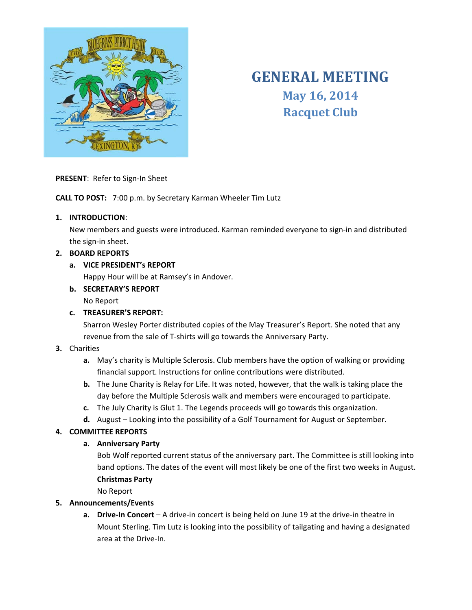

# **GENERAL MEETING** May 16, 2014 **Racquet Club**

#### PRESENT: Refer to Sign-In Sheet

CALL TO POST: 7:00 p.m. by Secretary Karman Wheeler Tim Lutz

#### 1. INTRODUCTION:

New members and guests were introduced. Karman reminded everyone to sign-in and distributed the sign-in sheet.

# 2. BOARD REPORTS

#### a. VICE PRESIDENT's REPORT

Happy Hour will be at Ramsey's in Andover.

**b. SECRETARY'S REPORT** 

No Report

# c. TREASURER'S REPORT:

Sharron Wesley Porter distributed copies of the May Treasurer's Report. She noted that any revenue from the sale of T-shirts will go towards the Anniversary Party.

# 3. Charities

- a. May's charity is Multiple Sclerosis. Club members have the option of walking or providing financial support. Instructions for online contributions were distributed.
- b. The June Charity is Relay for Life. It was noted, however, that the walk is taking place the day before the Multiple Sclerosis walk and members were encouraged to participate.
- c. The July Charity is Glut 1. The Legends proceeds will go towards this organization.
- d. August Looking into the possibility of a Golf Tournament for August or September.

# **4. COMMITTEE REPORTS**

# a. Anniversary Party

Bob Wolf reported current status of the anniversary part. The Committee is still looking into band options. The dates of the event will most likely be one of the first two weeks in August. **Christmas Party** 

No Report

# 5. Announcements/Events

a. Drive-In Concert  $-A$  drive-in concert is being held on June 19 at the drive-in theatre in Mount Sterling. Tim Lutz is looking into the possibility of tailgating and having a designated area at the Drive-In.